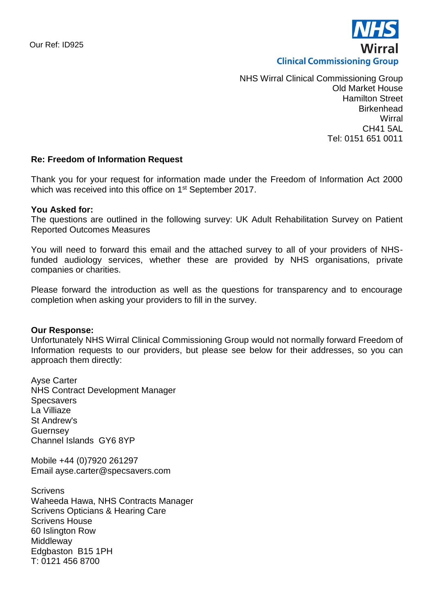

NHS Wirral Clinical Commissioning Group Old Market House Hamilton Street Birkenhead **Wirral** CH41 5AL Tel: 0151 651 0011

# **Re: Freedom of Information Request**

Thank you for your request for information made under the Freedom of Information Act 2000 which was received into this office on 1st September 2017.

#### **You Asked for:**

The questions are outlined in the following survey: UK Adult Rehabilitation Survey on Patient Reported Outcomes Measures

You will need to forward this email and the attached survey to all of your providers of NHSfunded audiology services, whether these are provided by NHS organisations, private companies or charities.

Please forward the introduction as well as the questions for transparency and to encourage completion when asking your providers to fill in the survey.

#### **Our Response:**

Unfortunately NHS Wirral Clinical Commissioning Group would not normally forward Freedom of Information requests to our providers, but please see below for their addresses, so you can approach them directly:

Ayse Carter NHS Contract Development Manager **Specsavers** La Villiaze St Andrew's **Guernsey** Channel Islands GY6 8YP

Mobile +44 (0)7920 261297 Email ayse.carter@specsavers.com

**Scrivens** Waheeda Hawa, NHS Contracts Manager Scrivens Opticians & Hearing Care Scrivens House 60 Islington Row **Middleway** Edgbaston B15 1PH T: 0121 456 8700